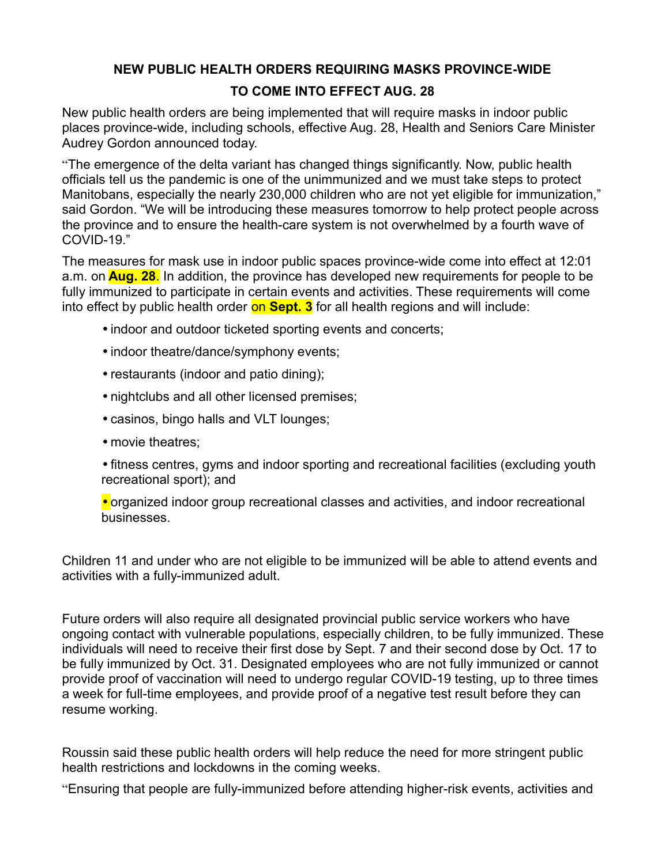## **NEW PUBLIC HEALTH ORDERS REQUIRING MASKS PROVINCE-WIDE TO COME INTO EFFECT AUG. 28**

New public health orders are being implemented that will require masks in indoor public places province-wide, including schools, effective Aug. 28, Health and Seniors Care Minister Audrey Gordon announced today.

"The emergence of the delta variant has changed things significantly. Now, public health officials tell us the pandemic is one of the unimmunized and we must take steps to protect Manitobans, especially the nearly 230,000 children who are not yet eligible for immunization," said Gordon. "We will be introducing these measures tomorrow to help protect people across the province and to ensure the health-care system is not overwhelmed by a fourth wave of COVID-19."

The measures for mask use in indoor public spaces province-wide come into effect at 12:01 a.m. on **Aug. 28**. In addition, the province has developed new requirements for people to be fully immunized to participate in certain events and activities. These requirements will come into effect by public health order on **Sept. 3** for all health regions and will include:

- indoor and outdoor ticketed sporting events and concerts;
- indoor theatre/dance/symphony events;
- restaurants (indoor and patio dining);
- nightclubs and all other licensed premises;
- casinos, bingo halls and VLT lounges;
- movie theatres;
- fitness centres, gyms and indoor sporting and recreational facilities (excluding youth recreational sport); and
- organized indoor group recreational classes and activities, and indoor recreational businesses.

Children 11 and under who are not eligible to be immunized will be able to attend events and activities with a fully-immunized adult.

Future orders will also require all designated provincial public service workers who have ongoing contact with vulnerable populations, especially children, to be fully immunized. These individuals will need to receive their first dose by Sept. 7 and their second dose by Oct. 17 to be fully immunized by Oct. 31. Designated employees who are not fully immunized or cannot provide proof of vaccination will need to undergo regular COVID-19 testing, up to three times a week for full-time employees, and provide proof of a negative test result before they can resume working.

Roussin said these public health orders will help reduce the need for more stringent public health restrictions and lockdowns in the coming weeks.

"Ensuring that people are fully-immunized before attending higher-risk events, activities and